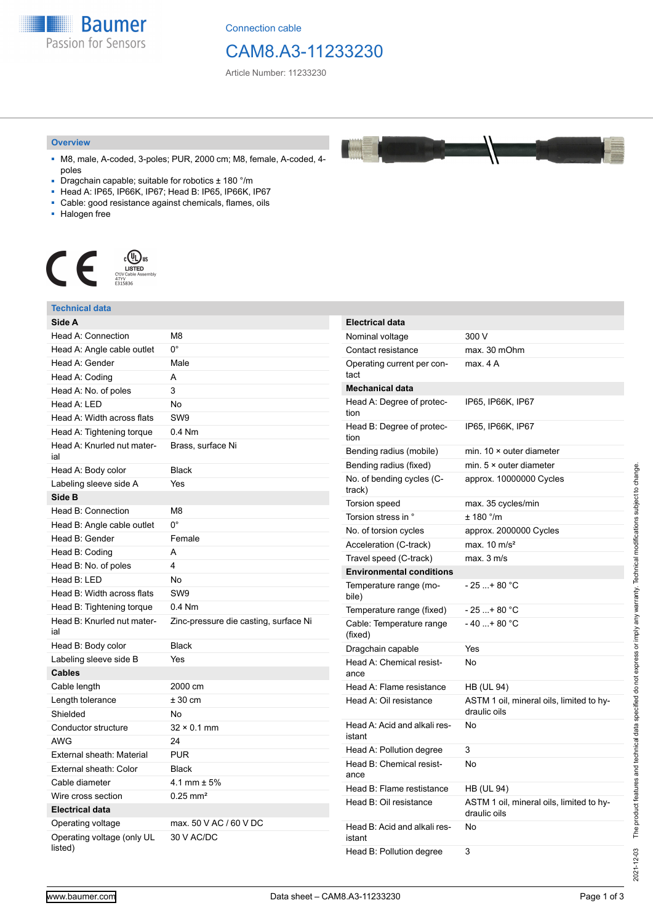**Baumer** Passion for Sensors

Connection cable

## CAM8.A3-11233230

Article Number: 11233230

#### **Overview**

- M8, male, A-coded, 3-poles; PUR, 2000 cm; M8, female, A-coded, 4 poles
- Dragchain capable; suitable for robotics ± 180 °/m
- Head A: IP65, IP66K, IP67; Head B: IP65, IP66K, IP67
- Cable: good resistance against chemicals, flames, oils
- Halogen free



| Technical data                                  |                                       |                                                                  |                                                                |
|-------------------------------------------------|---------------------------------------|------------------------------------------------------------------|----------------------------------------------------------------|
| Side A                                          |                                       | <b>Electrical data</b>                                           |                                                                |
| Head A: Connection                              | M <sub>8</sub>                        | Nominal voltage                                                  | 300 V                                                          |
| Head A: Angle cable outlet                      | $0^{\circ}$                           | Contact resistance                                               | max. 30 mOhm                                                   |
| Head A: Gender                                  | Male                                  | Operating current per con-                                       | max. 4 A                                                       |
| Head A: Coding                                  | A                                     | tact                                                             |                                                                |
| Head A: No. of poles                            | 3                                     | <b>Mechanical data</b>                                           |                                                                |
| Head A: LED                                     | No                                    | Head A: Degree of protec-                                        | IP65, IP66K, IP67                                              |
| Head A: Width across flats                      | SW <sub>9</sub>                       | tion                                                             |                                                                |
| Head A: Tightening torque                       | $0.4$ Nm                              | Head B: Degree of protec-<br>tion                                | IP65, IP66K, IP67                                              |
| Head A: Knurled nut mater-<br>ial               | Brass, surface Ni                     | Bending radius (mobile)                                          | min. $10 \times$ outer diameter                                |
| Head A: Body color                              | <b>Black</b>                          | Bending radius (fixed)                                           | min. $5 \times$ outer diameter                                 |
| Labeling sleeve side A                          | Yes                                   | No. of bending cycles (C-<br>track)                              | approx. 10000000 Cycles                                        |
| Side B                                          |                                       | Torsion speed                                                    | max. 35 cycles/min                                             |
| Head B: Connection                              | M <sub>8</sub><br>$0^{\circ}$         | Torsion stress in °                                              | $± 180$ °/m                                                    |
| Head B: Angle cable outlet                      |                                       | No. of torsion cycles                                            | approx. 2000000 Cycles                                         |
| Head B: Gender                                  | Female                                | Acceleration (C-track)                                           | max. $10 \text{ m/s}^2$                                        |
| Head B: Coding                                  | A                                     | Travel speed (C-track)                                           | max. 3 m/s                                                     |
| Head B: No. of poles                            | $\overline{4}$                        | <b>Environmental conditions</b>                                  |                                                                |
| Head B: LED                                     | No                                    | Temperature range (mo-                                           | $-25+80 °C$                                                    |
| Head B: Width across flats                      | SW <sub>9</sub>                       | bile)                                                            |                                                                |
| Head B: Tightening torque                       | $0.4$ Nm                              | Temperature range (fixed)                                        | $-25+80 °C$                                                    |
| Head B: Knurled nut mater-<br>ial               | Zinc-pressure die casting, surface Ni | Cable: Temperature range<br>(fixed)                              | $-40+80 °C$                                                    |
| Head B: Body color                              | <b>Black</b>                          | Dragchain capable                                                | Yes                                                            |
| Labeling sleeve side B                          | Yes                                   | Head A: Chemical resist-                                         | <b>No</b>                                                      |
| <b>Cables</b>                                   |                                       | ance                                                             |                                                                |
| Cable length                                    | 2000 cm                               | Head A: Flame resistance                                         | <b>HB (UL 94)</b>                                              |
| Length tolerance                                | ± 30 cm                               | Head A: Oil resistance<br>Head A: Acid and alkali res-<br>istant | ASTM 1 oil, mineral oils, limited to hy-<br>draulic oils<br>No |
| Shielded                                        | No                                    |                                                                  |                                                                |
| Conductor structure                             | $32 \times 0.1$ mm                    |                                                                  |                                                                |
| <b>AWG</b>                                      | 24                                    | Head A: Pollution degree                                         | 3                                                              |
| External sheath: Material                       | <b>PUR</b>                            | Head B: Chemical resist-                                         | No                                                             |
| External sheath: Color                          | <b>Black</b>                          | ance                                                             |                                                                |
| Cable diameter                                  | 4.1 mm $\pm$ 5%                       | Head B: Flame restistance                                        | <b>HB (UL 94)</b>                                              |
| Wire cross section                              | $0.25$ mm <sup>2</sup>                | Head B: Oil resistance                                           | ASTM 1 oil, mineral oils, limited to hy-                       |
| <b>Electrical data</b>                          |                                       |                                                                  | draulic oils                                                   |
| Operating voltage<br>Operating voltage (only UL | max. 50 V AC / 60 V DC<br>30 V AC/DC  | Head B: Acid and alkali res-<br>istant                           | No                                                             |
| listed)                                         |                                       | Head B: Pollution degree                                         | 3                                                              |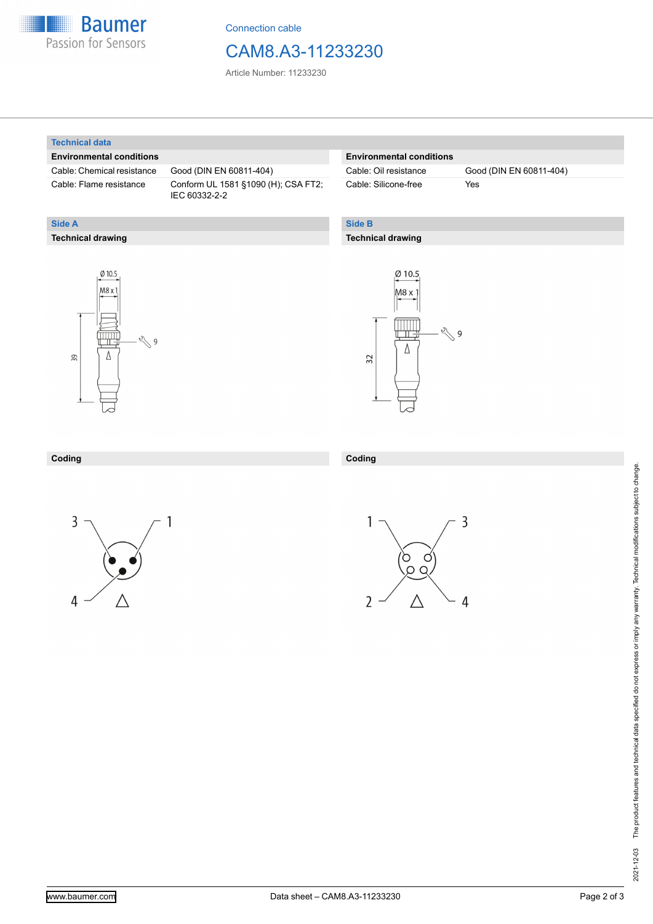

Connection cable

## CAM8.A3-11233230

Article Number: 11233230

### **Technical data**

**Technical drawing**

**Side A**

### **Environmental conditions**

Cable: Chemical resistance Good (DIN EN 60811-404)

Cable: Flame resistance Conform UL 1581 §1090 (H); CSA FT2; IEC 60332-2-2

## **Environmental conditions**

Cable: Silicone-free Yes

Cable: Oil resistance Good (DIN EN 60811-404)

## **Side B**

**Coding**

### **Technical drawing**





#### **Coding**